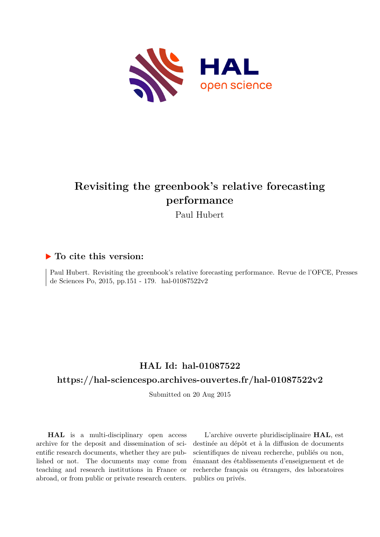

# **Revisiting the greenbook's relative forecasting performance**

Paul Hubert

### **To cite this version:**

Paul Hubert. Revisiting the greenbook's relative forecasting performance. Revue de l'OFCE, Presses de Sciences Po, 2015, pp.151 - 179. hal-01087522v2

## **HAL Id: hal-01087522**

### **<https://hal-sciencespo.archives-ouvertes.fr/hal-01087522v2>**

Submitted on 20 Aug 2015

**HAL** is a multi-disciplinary open access archive for the deposit and dissemination of scientific research documents, whether they are published or not. The documents may come from teaching and research institutions in France or abroad, or from public or private research centers.

L'archive ouverte pluridisciplinaire **HAL**, est destinée au dépôt et à la diffusion de documents scientifiques de niveau recherche, publiés ou non, émanant des établissements d'enseignement et de recherche français ou étrangers, des laboratoires publics ou privés.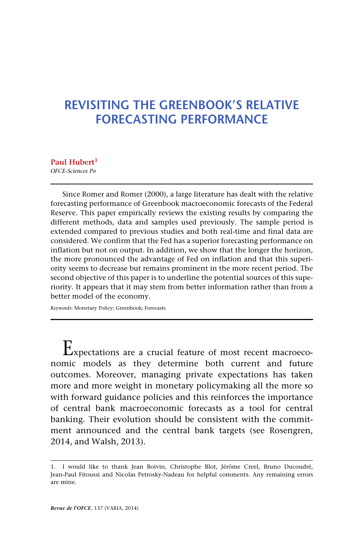### **REVISITING THE GREENBOOK'S RELATIVE FORECASTING PERFORMANCE**

**Paul Hubert1** *OFCE-Sciences Po*

Since Romer and Romer (2000), a large literature has dealt with the relative forecasting performance of Greenbook macroeconomic forecasts of the Federal Reserve. This paper empirically reviews the existing results by comparing the different methods, data and samples used previously. The sample period is extended compared to previous studies and both real-time and final data are considered. We confirm that the Fed has a superior forecasting performance on inflation but not on output. In addition, we show that the longer the horizon, the more pronounced the advantage of Fed on inflation and that this superiority seems to decrease but remains prominent in the more recent period. The second objective of this paper is to underline the potential sources of this superiority. It appears that it may stem from better information rather than from a better model of the economy.

*Keywords*: Monetary Policy; Greenbook; Forecasts

Expectations are a crucial feature of most recent macroeconomic models as they determine both current and future outcomes. Moreover, managing private expectations has taken more and more weight in monetary policymaking all the more so with forward guidance policies and this reinforces the importance of central bank macroeconomic forecasts as a tool for central banking. Their evolution should be consistent with the commitment announced and the central bank targets (see Rosengren, 2014, and Walsh, 2013).

<sup>1.</sup> I would like to thank Jean Boivin, Christophe Blot, Jérôme Creel, Bruno Ducoudré, Jean-Paul Fitoussi and Nicolas Petrosky-Nadeau for helpful comments. Any remaining errors are mine.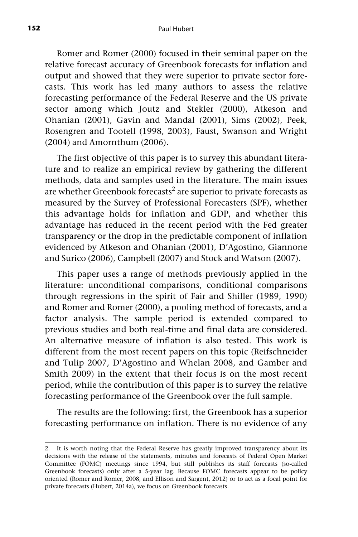Romer and Romer (2000) focused in their seminal paper on the relative forecast accuracy of Greenbook forecasts for inflation and output and showed that they were superior to private sector forecasts. This work has led many authors to assess the relative forecasting performance of the Federal Reserve and the US private sector among which Joutz and Stekler (2000), Atkeson and Ohanian (2001), Gavin and Mandal (2001), Sims (2002), Peek, Rosengren and Tootell (1998, 2003), Faust, Swanson and Wright (2004) and Amornthum (2006).

The first objective of this paper is to survey this abundant literature and to realize an empirical review by gathering the different methods, data and samples used in the literature. The main issues are whether Greenbook forecasts<sup>2</sup> are superior to private forecasts as measured by the Survey of Professional Forecasters (SPF), whether this advantage holds for inflation and GDP, and whether this advantage has reduced in the recent period with the Fed greater transparency or the drop in the predictable component of inflation evidenced by Atkeson and Ohanian (2001), D'Agostino, Giannone and Surico (2006), Campbell (2007) and Stock and Watson (2007).

This paper uses a range of methods previously applied in the literature: unconditional comparisons, conditional comparisons through regressions in the spirit of Fair and Shiller (1989, 1990) and Romer and Romer (2000), a pooling method of forecasts, and a factor analysis. The sample period is extended compared to previous studies and both real-time and final data are considered. An alternative measure of inflation is also tested. This work is different from the most recent papers on this topic (Reifschneider and Tulip 2007, D'Agostino and Whelan 2008, and Gamber and Smith 2009) in the extent that their focus is on the most recent period, while the contribution of this paper is to survey the relative forecasting performance of the Greenbook over the full sample.

The results are the following: first, the Greenbook has a superior forecasting performance on inflation. There is no evidence of any

<sup>2.</sup> It is worth noting that the Federal Reserve has greatly improved transparency about its decisions with the release of the statements, minutes and forecasts of Federal Open Market Committee (FOMC) meetings since 1994, but still publishes its staff forecasts (so-called Greenbook forecasts) only after a 5-year lag. Because FOMC forecasts appear to be policy oriented (Romer and Romer, 2008, and Ellison and Sargent, 2012) or to act as a focal point for private forecasts (Hubert, 2014a), we focus on Greenbook forecasts.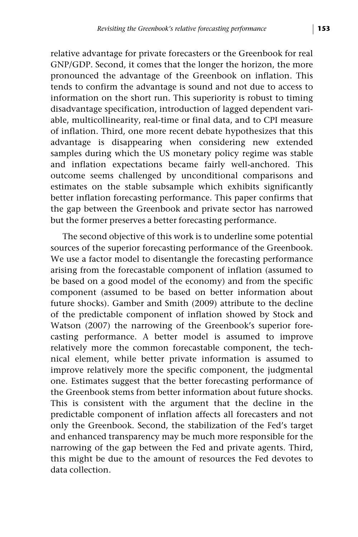relative advantage for private forecasters or the Greenbook for real GNP/GDP. Second, it comes that the longer the horizon, the more pronounced the advantage of the Greenbook on inflation. This tends to confirm the advantage is sound and not due to access to information on the short run. This superiority is robust to timing disadvantage specification, introduction of lagged dependent variable, multicollinearity, real-time or final data, and to CPI measure of inflation. Third, one more recent debate hypothesizes that this advantage is disappearing when considering new extended samples during which the US monetary policy regime was stable and inflation expectations became fairly well-anchored. This outcome seems challenged by unconditional comparisons and estimates on the stable subsample which exhibits significantly better inflation forecasting performance. This paper confirms that the gap between the Greenbook and private sector has narrowed but the former preserves a better forecasting performance.

The second objective of this work is to underline some potential sources of the superior forecasting performance of the Greenbook. We use a factor model to disentangle the forecasting performance arising from the forecastable component of inflation (assumed to be based on a good model of the economy) and from the specific component (assumed to be based on better information about future shocks). Gamber and Smith (2009) attribute to the decline of the predictable component of inflation showed by Stock and Watson (2007) the narrowing of the Greenbook's superior forecasting performance. A better model is assumed to improve relatively more the common forecastable component, the technical element, while better private information is assumed to improve relatively more the specific component, the judgmental one. Estimates suggest that the better forecasting performance of the Greenbook stems from better information about future shocks. This is consistent with the argument that the decline in the predictable component of inflation affects all forecasters and not only the Greenbook. Second, the stabilization of the Fed's target and enhanced transparency may be much more responsible for the narrowing of the gap between the Fed and private agents. Third, this might be due to the amount of resources the Fed devotes to data collection.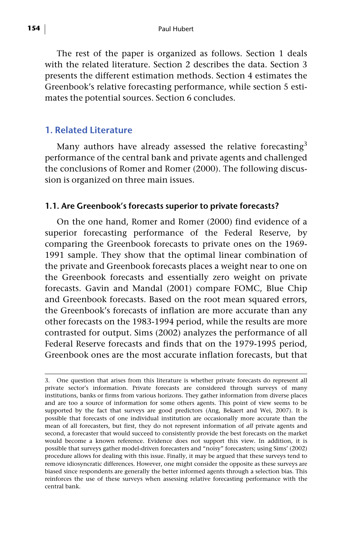The rest of the paper is organized as follows. Section 1 deals with the related literature. Section 2 describes the data. Section 3 presents the different estimation methods. Section 4 estimates the Greenbook's relative forecasting performance, while section 5 estimates the potential sources. Section 6 concludes.

#### **1. Related Literature**

Many authors have already assessed the relative forecasting<sup>3</sup> performance of the central bank and private agents and challenged the conclusions of Romer and Romer (2000). The following discussion is organized on three main issues.

#### **1.1. Are Greenbook's forecasts superior to private forecasts?**

On the one hand, Romer and Romer (2000) find evidence of a superior forecasting performance of the Federal Reserve, by comparing the Greenbook forecasts to private ones on the 1969- 1991 sample. They show that the optimal linear combination of the private and Greenbook forecasts places a weight near to one on the Greenbook forecasts and essentially zero weight on private forecasts. Gavin and Mandal (2001) compare FOMC, Blue Chip and Greenbook forecasts. Based on the root mean squared errors, the Greenbook's forecasts of inflation are more accurate than any other forecasts on the 1983-1994 period, while the results are more contrasted for output. Sims (2002) analyzes the performance of all Federal Reserve forecasts and finds that on the 1979-1995 period, Greenbook ones are the most accurate inflation forecasts, but that

<sup>3.</sup> One question that arises from this literature is whether private forecasts do represent all private sector's information. Private forecasts are considered through surveys of many institutions, banks or firms from various horizons. They gather information from diverse places and are too a source of information for some others agents. This point of view seems to be supported by the fact that surveys are good predictors (Ang, Bekaert and Wei, 2007). It is possible that forecasts of one individual institution are occasionally more accurate than the mean of all forecasters, but first, they do not represent information of *all* private agents and second, a forecaster that would succeed to consistently provide the best forecasts on the market would become a known reference. Evidence does not support this view. In addition, it is possible that surveys gather model-driven forecasters and "noisy" forecasters; using Sims' (2002) procedure allows for dealing with this issue. Finally, it may be argued that these surveys tend to remove idiosyncratic differences. However, one might consider the opposite as these surveys are biased since respondents are generally the better informed agents through a selection bias. This reinforces the use of these surveys when assessing relative forecasting performance with the central bank.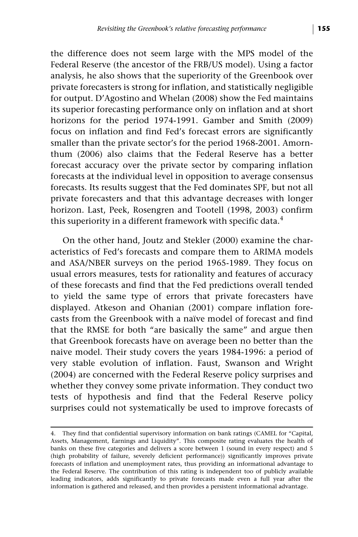the difference does not seem large with the MPS model of the Federal Reserve (the ancestor of the FRB/US model). Using a factor analysis, he also shows that the superiority of the Greenbook over private forecasters is strong for inflation, and statistically negligible for output. D'Agostino and Whelan (2008) show the Fed maintains its superior forecasting performance only on inflation and at short horizons for the period 1974-1991. Gamber and Smith (2009) focus on inflation and find Fed's forecast errors are significantly smaller than the private sector's for the period 1968-2001. Amornthum (2006) also claims that the Federal Reserve has a better forecast accuracy over the private sector by comparing inflation forecasts at the individual level in opposition to average consensus forecasts. Its results suggest that the Fed dominates SPF, but not all private forecasters and that this advantage decreases with longer horizon. Last, Peek, Rosengren and Tootell (1998, 2003) confirm this superiority in a different framework with specific data.<sup>4</sup>

On the other hand, Joutz and Stekler (2000) examine the characteristics of Fed's forecasts and compare them to ARIMA models and ASA/NBER surveys on the period 1965-1989. They focus on usual errors measures, tests for rationality and features of accuracy of these forecasts and find that the Fed predictions overall tended to yield the same type of errors that private forecasters have displayed. Atkeson and Ohanian (2001) compare inflation forecasts from the Greenbook with a naïve model of forecast and find that the RMSE for both "are basically the same" and argue then that Greenbook forecasts have on average been no better than the naive model. Their study covers the years 1984-1996: a period of very stable evolution of inflation. Faust, Swanson and Wright (2004) are concerned with the Federal Reserve policy surprises and whether they convey some private information. They conduct two tests of hypothesis and find that the Federal Reserve policy surprises could not systematically be used to improve forecasts of

<sup>4.</sup> They find that confidential supervisory information on bank ratings (CAMEL for "Capital, Assets, Management, Earnings and Liquidity". This composite rating evaluates the health of banks on these five categories and delivers a score between 1 (sound in every respect) and 5 (high probability of failure, severely deficient performance)) significantly improves private forecasts of inflation and unemployment rates, thus providing an informational advantage to the Federal Reserve. The contribution of this rating is independent too of publicly available leading indicators, adds significantly to private forecasts made even a full year after the information is gathered and released, and then provides a persistent informational advantage.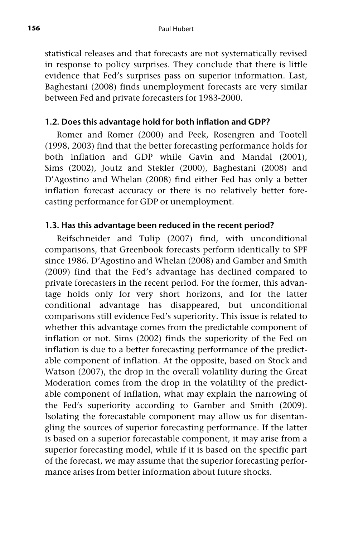statistical releases and that forecasts are not systematically revised in response to policy surprises. They conclude that there is little evidence that Fed's surprises pass on superior information. Last, Baghestani (2008) finds unemployment forecasts are very similar between Fed and private forecasters for 1983-2000.

#### **1.2. Does this advantage hold for both inflation and GDP?**

Romer and Romer (2000) and Peek, Rosengren and Tootell (1998, 2003) find that the better forecasting performance holds for both inflation and GDP while Gavin and Mandal (2001), Sims (2002), Joutz and Stekler (2000), Baghestani (2008) and D'Agostino and Whelan (2008) find either Fed has only a better inflation forecast accuracy or there is no relatively better forecasting performance for GDP or unemployment.

#### **1.3. Has this advantage been reduced in the recent period?**

Reifschneider and Tulip (2007) find, with unconditional comparisons, that Greenbook forecasts perform identically to SPF since 1986. D'Agostino and Whelan (2008) and Gamber and Smith (2009) find that the Fed's advantage has declined compared to private forecasters in the recent period. For the former, this advantage holds only for very short horizons, and for the latter conditional advantage has disappeared, but unconditional comparisons still evidence Fed's superiority. This issue is related to whether this advantage comes from the predictable component of inflation or not. Sims (2002) finds the superiority of the Fed on inflation is due to a better forecasting performance of the predictable component of inflation. At the opposite, based on Stock and Watson (2007), the drop in the overall volatility during the Great Moderation comes from the drop in the volatility of the predictable component of inflation, what may explain the narrowing of the Fed's superiority according to Gamber and Smith (2009). Isolating the forecastable component may allow us for disentangling the sources of superior forecasting performance. If the latter is based on a superior forecastable component, it may arise from a superior forecasting model, while if it is based on the specific part of the forecast, we may assume that the superior forecasting performance arises from better information about future shocks.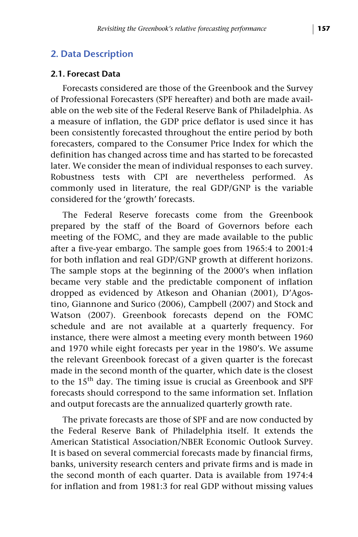#### **2.1. Forecast Data**

Forecasts considered are those of the Greenbook and the Survey of Professional Forecasters (SPF hereafter) and both are made available on the web site of the Federal Reserve Bank of Philadelphia. As a measure of inflation, the GDP price deflator is used since it has been consistently forecasted throughout the entire period by both forecasters, compared to the Consumer Price Index for which the definition has changed across time and has started to be forecasted later. We consider the mean of individual responses to each survey. Robustness tests with CPI are nevertheless performed. As commonly used in literature, the real GDP/GNP is the variable considered for the 'growth' forecasts.

The Federal Reserve forecasts come from the Greenbook prepared by the staff of the Board of Governors before each meeting of the FOMC, and they are made available to the public after a five-year embargo. The sample goes from 1965:4 to 2001:4 for both inflation and real GDP/GNP growth at different horizons. The sample stops at the beginning of the 2000's when inflation became very stable and the predictable component of inflation dropped as evidenced by Atkeson and Ohanian (2001), D'Agostino, Giannone and Surico (2006), Campbell (2007) and Stock and Watson (2007). Greenbook forecasts depend on the FOMC schedule and are not available at a quarterly frequency. For instance, there were almost a meeting every month between 1960 and 1970 while eight forecasts per year in the 1980's. We assume the relevant Greenbook forecast of a given quarter is the forecast made in the second month of the quarter, which date is the closest to the 15<sup>th</sup> day. The timing issue is crucial as Greenbook and SPF forecasts should correspond to the same information set. Inflation and output forecasts are the annualized quarterly growth rate.

The private forecasts are those of SPF and are now conducted by the Federal Reserve Bank of Philadelphia itself. It extends the American Statistical Association/NBER Economic Outlook Survey. It is based on several commercial forecasts made by financial firms, banks, university research centers and private firms and is made in the second month of each quarter. Data is available from 1974:4 for inflation and from 1981:3 for real GDP without missing values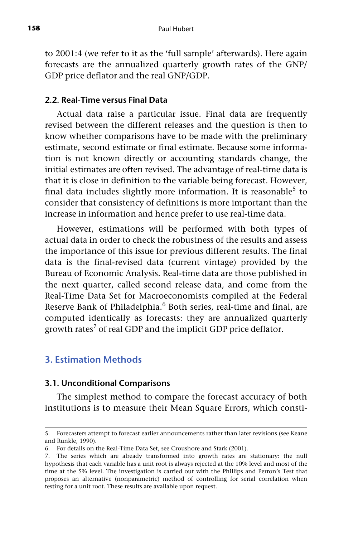to 2001:4 (we refer to it as the 'full sample' afterwards). Here again forecasts are the annualized quarterly growth rates of the GNP/ GDP price deflator and the real GNP/GDP.

#### **2.2. Real-Time versus Final Data**

Actual data raise a particular issue. Final data are frequently revised between the different releases and the question is then to know whether comparisons have to be made with the preliminary estimate, second estimate or final estimate. Because some information is not known directly or accounting standards change, the initial estimates are often revised. The advantage of real-time data is that it is close in definition to the variable being forecast. However, final data includes slightly more information. It is reasonable<sup>5</sup> to consider that consistency of definitions is more important than the increase in information and hence prefer to use real-time data.

However, estimations will be performed with both types of actual data in order to check the robustness of the results and assess the importance of this issue for previous different results. The final data is the final-revised data (current vintage) provided by the Bureau of Economic Analysis. Real-time data are those published in the next quarter, called second release data, and come from the Real-Time Data Set for Macroeconomists compiled at the Federal Reserve Bank of Philadelphia.<sup>6</sup> Both series, real-time and final, are computed identically as forecasts: they are annualized quarterly growth rates $^7$  of real GDP and the implicit GDP price deflator.

#### **3. Estimation Methods**

#### **3.1. Unconditional Comparisons**

The simplest method to compare the forecast accuracy of both institutions is to measure their Mean Square Errors, which consti-

<sup>5.</sup> Forecasters attempt to forecast earlier announcements rather than later revisions (see Keane and Runkle, 1990).

<sup>6.</sup> For details on the Real-Time Data Set, see Croushore and Stark (2001).

<sup>7.</sup> The series which are already transformed into growth rates are stationary: the null hypothesis that each variable has a unit root is always rejected at the 10% level and most of the time at the 5% level. The investigation is carried out with the Phillips and Perron's Test that proposes an alternative (nonparametric) method of controlling for serial correlation when testing for a unit root. These results are available upon request.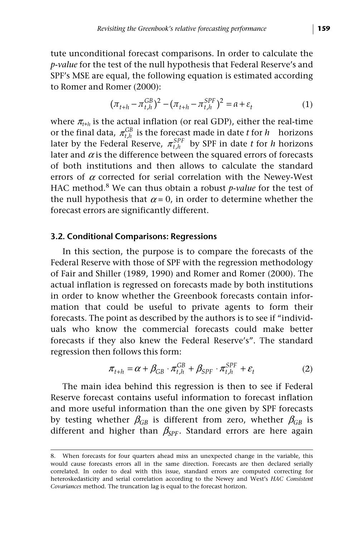tute unconditional forecast comparisons. In order to calculate the *p-value* for the test of the null hypothesis that Federal Reserve's and SPF's MSE are equal, the following equation is estimated according to Romer and Romer (2000):

$$
(\pi_{t+h} - \pi_{t,h}^{GB})^2 - (\pi_{t+h} - \pi_{t,h}^{SPF})^2 = a + \varepsilon_t
$$
 (1)

where  $\pi_{H}$  is the actual inflation (or real GDP), either the real-time or the final data,  $\pi_{th}^{\text{GB}}$  is the forecast made in date *t* for *h* horizons later by the Federal Reserve,  $\pi_{t,h}^{SFT}$  by SPF in date *t* for *h* horizons later and  $\alpha$  is the difference between the squared errors of forecasts of both institutions and then allows to calculate the standard errors of  $\alpha$  corrected for serial correlation with the Newey-West HAC method.8 We can thus obtain a robust *p-value* for the test of the null hypothesis that  $\alpha = 0$ , in order to determine whether the forecast errors are significantly different.  $\pi^{\text{GB}}_{t,h}$  $\pi^{\tiny{SPF}}_{t,h}$ 

#### **3.2. Conditional Comparisons: Regressions**

In this section, the purpose is to compare the forecasts of the Federal Reserve with those of SPF with the regression methodology of Fair and Shiller (1989, 1990) and Romer and Romer (2000). The actual inflation is regressed on forecasts made by both institutions in order to know whether the Greenbook forecasts contain information that could be useful to private agents to form their forecasts. The point as described by the authors is to see if "individuals who know the commercial forecasts could make better forecasts if they also knew the Federal Reserve's". The standard regression then follows this form:

$$
\pi_{t+h} = \alpha + \beta_{GB} \cdot \pi_{t,h}^{GB} + \beta_{SPF} \cdot \pi_{t,h}^{SPF} + \varepsilon_t
$$
 (2)

The main idea behind this regression is then to see if Federal Reserve forecast contains useful information to forecast inflation and more useful information than the one given by SPF forecasts by testing whether  $\beta_{GR}$  is different from zero, whether  $\beta_{GR}$  is different and higher than  $\beta_{SPF}$ . Standard errors are here again

<sup>8.</sup> When forecasts for four quarters ahead miss an unexpected change in the variable, this would cause forecasts errors all in the same direction. Forecasts are then declared serially correlated. In order to deal with this issue, standard errors are computed correcting for heteroskedasticity and serial correlation according to the Newey and West's *HAC Consistent Covariances* method. The truncation lag is equal to the forecast horizon.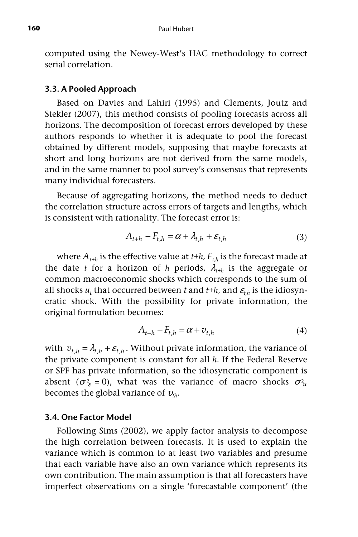computed using the Newey-West's HAC methodology to correct serial correlation.

#### **3.3. A Pooled Approach**

Based on Davies and Lahiri (1995) and Clements, Joutz and Stekler (2007), this method consists of pooling forecasts across all horizons. The decomposition of forecast errors developed by these authors responds to whether it is adequate to pool the forecast obtained by different models, supposing that maybe forecasts at short and long horizons are not derived from the same models, and in the same manner to pool survey's consensus that represents many individual forecasters.

Because of aggregating horizons, the method needs to deduct the correlation structure across errors of targets and lengths, which is consistent with rationality. The forecast error is:

$$
A_{t+h} - F_{t,h} = \alpha + \lambda_{t,h} + \varepsilon_{t,h}
$$
\n(3)

where  $A_{t+h}$  is the effective value at  $t+h$ ,  $F_{th}$  is the forecast made at the date *t* for a horizon of *h* periods,  $\lambda_{t+h}$  is the aggregate or common macroeconomic shocks which corresponds to the sum of all shocks  $u_t$  that occurred between *t* and  $t+h$ , and  $\varepsilon_{th}$  is the idiosyncratic shock. With the possibility for private information, the original formulation becomes:

$$
A_{t+h} - F_{t,h} = \alpha + v_{t,h} \tag{4}
$$

with  $v_{t,h} = \lambda_{t,h} + \varepsilon_{t,h}$ . Without private information, the variance of the private component is constant for all *h*. If the Federal Reserve or SPF has private information, so the idiosyncratic component is absent ( $\sigma^2_{\varepsilon}$  = 0), what was the variance of macro shocks  $\sigma^2_{\mu}$ becomes the global variance of <sup>υ</sup>*th*.

#### **3.4. One Factor Model**

Following Sims (2002), we apply factor analysis to decompose the high correlation between forecasts. It is used to explain the variance which is common to at least two variables and presume that each variable have also an own variance which represents its own contribution. The main assumption is that all forecasters have imperfect observations on a single 'forecastable component' (the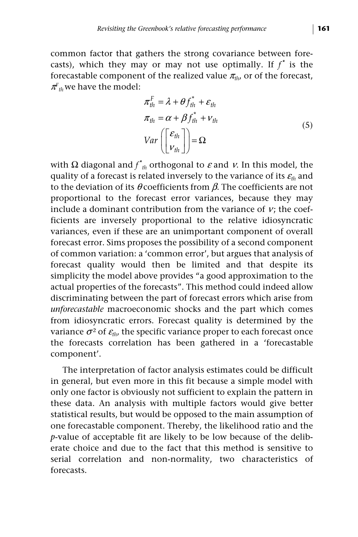$$
\pi_{th}^{F} = \lambda + \theta f_{th}^{*} + \varepsilon_{th}
$$
\n
$$
\pi_{th} = \alpha + \beta f_{th}^{*} + \nu_{th}
$$
\n
$$
Var\left(\begin{bmatrix} \varepsilon_{th} \\ \nu_{th} \end{bmatrix}\right) = \Omega
$$
\n(5)

with Ω diagonal and  $f^*_{th}$  orthogonal to  $\varepsilon$  and  $\nu$ . In this model, the quality of a forecast is related inversely to the variance of its  $\varepsilon_{th}$  and to the deviation of its  $\theta$  coefficients from  $\beta$ . The coefficients are not proportional to the forecast error variances, because they may include a dominant contribution from the variance of  $\nu$ ; the coefficients are inversely proportional to the relative idiosyncratic variances, even if these are an unimportant component of overall forecast error. Sims proposes the possibility of a second component of common variation: a 'common error', but argues that analysis of forecast quality would then be limited and that despite its simplicity the model above provides "a good approximation to the actual properties of the forecasts". This method could indeed allow discriminating between the part of forecast errors which arise from *unforecastable* macroeconomic shocks and the part which comes from idiosyncratic errors. Forecast quality is determined by the variance  $\sigma^2$  of  $\varepsilon_{th}$ , the specific variance proper to each forecast once the forecasts correlation has been gathered in a 'forecastable component'.

The interpretation of factor analysis estimates could be difficult in general, but even more in this fit because a simple model with only one factor is obviously not sufficient to explain the pattern in these data. An analysis with multiple factors would give better statistical results, but would be opposed to the main assumption of one forecastable component. Thereby, the likelihood ratio and the *p*-value of acceptable fit are likely to be low because of the deliberate choice and due to the fact that this method is sensitive to serial correlation and non-normality, two characteristics of forecasts.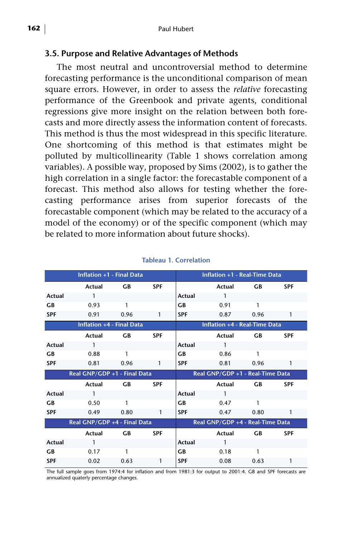#### **3.5. Purpose and Relative Advantages of Methods**

The most neutral and uncontroversial method to determine forecasting performance is the unconditional comparison of mean square errors. However, in order to assess the *relative* forecasting performance of the Greenbook and private agents, conditional regressions give more insight on the relation between both forecasts and more directly assess the information content of forecasts. This method is thus the most widespread in this specific literature. One shortcoming of this method is that estimates might be polluted by multicollinearity (Table 1 shows correlation among variables). A possible way, proposed by Sims (2002), is to gather the high correlation in a single factor: the forecastable component of a forecast. This method also allows for testing whether the forecasting performance arises from superior forecasts of the forecastable component (which may be related to the accuracy of a model of the economy) or of the specific component (which may be related to more information about future shocks).

|            | Inflation +1 - Final Data        |      |              |            | Inflation +1 - Real-Time Data    |           |              |  |
|------------|----------------------------------|------|--------------|------------|----------------------------------|-----------|--------------|--|
|            | Actual                           | GB.  | <b>SPF</b>   |            | Actual                           | <b>GB</b> | <b>SPF</b>   |  |
| Actual     | 1                                |      |              | Actual     | 1                                |           |              |  |
| GВ         | 0.93                             | 1    |              | GB.        | 0.91                             | 1         |              |  |
| <b>SPF</b> | 0.91                             | 0.96 | 1            | <b>SPF</b> | 0.87                             | 0.96      | 1            |  |
|            | <b>Inflation +4 - Final Data</b> |      |              |            | Inflation +4 - Real-Time Data    |           |              |  |
|            | Actual                           | GB.  | <b>SPF</b>   |            | Actual                           | GB.       | <b>SPF</b>   |  |
| Actual     | 1                                |      |              | Actual     | $\mathbf{1}$                     |           |              |  |
| GВ         | 0.88                             | 1    |              | GВ         | 0.86                             | 1         |              |  |
| <b>SPF</b> | 0.81                             | 0.96 | $\mathbf{1}$ | <b>SPF</b> | 0.81                             | 0.96      | $\mathbf{1}$ |  |
|            | Real GNP/GDP +1 - Final Data     |      |              |            | Real GNP/GDP +1 - Real-Time Data |           |              |  |
|            | Actual                           | GB.  | <b>SPF</b>   |            | Actual                           | GB.       | <b>SPF</b>   |  |
| Actual     | $\mathbf{1}$                     |      |              | Actual     |                                  |           |              |  |
|            |                                  |      |              |            | $\mathbf{1}$                     |           |              |  |
| GВ         | 0.50                             | 1    |              | GВ         | 0.47                             | 1         |              |  |
| <b>SPF</b> | 0.49                             | 0.80 | 1            | <b>SPF</b> | 0.47                             | 0.80      | $\mathbf{1}$ |  |
|            | Real GNP/GDP +4 - Final Data     |      |              |            | Real GNP/GDP +4 - Real-Time Data |           |              |  |
|            | Actual                           | GB.  | <b>SPF</b>   |            | Actual                           | <b>GB</b> | <b>SPF</b>   |  |
| Actual     | 1                                |      |              | Actual     | 1                                |           |              |  |
| <b>GB</b>  | 0.17                             | 1    |              | GB.        | 0.18                             | 1         |              |  |

#### **Tableau 1. Correlation**

The full sample goes from 1974:4 for inflation and from 1981:3 for output to 2001:4. GB and SPF forecasts are annualized quaterly percentage changes.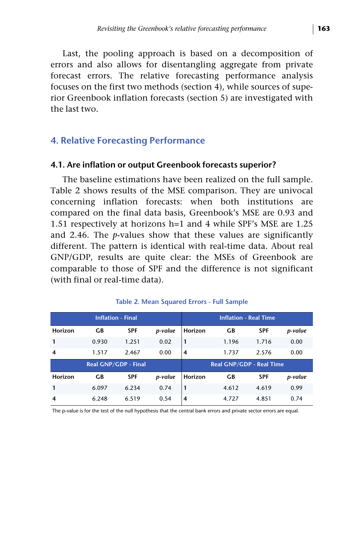Last, the pooling approach is based on a decomposition of errors and also allows for disentangling aggregate from private forecast errors. The relative forecasting performance analysis focuses on the first two methods (section 4), while sources of superior Greenbook inflation forecasts (section 5) are investigated with the last two.

#### **4. Relative Forecasting Performance**

#### **4.1. Are inflation or output Greenbook forecasts superior?**

The baseline estimations have been realized on the full sample. Table 2 shows results of the MSE comparison. They are univocal concerning inflation forecasts: when both institutions are compared on the final data basis, Greenbook's MSE are 0.93 and 1.51 respectively at horizons h=1 and 4 while SPF's MSE are 1.25 and 2.46. The *p*-values show that these values are significantly different. The pattern is identical with real-time data. About real GNP/GDP, results are quite clear: the MSEs of Greenbook are comparable to those of SPF and the difference is not significant (with final or real-time data).

|                     | <b>Inflation - Final</b> |                             |         |                | <b>Inflation - Real Time</b> |            |         |  |
|---------------------|--------------------------|-----------------------------|---------|----------------|------------------------------|------------|---------|--|
| Horizon             | GВ                       | <b>SPF</b>                  | p-value | Horizon        | GВ                           | <b>SPF</b> | p-value |  |
| 1                   | 0.930                    | 1.251                       | 0.02    | 1              | 1.196                        | 1.716      | 0.00    |  |
| $\overline{\bf{4}}$ | 1.517                    | 2.467                       | 0.00    | $\overline{4}$ | 1.737                        | 2.576      | 0.00    |  |
|                     |                          | <b>Real GNP/GDP - Final</b> |         |                | Real GNP/GDP - Real Time     |            |         |  |
| Horizon             | GВ                       | <b>SPF</b>                  | p-value | Horizon        | GB                           | <b>SPF</b> | p-value |  |
| 1                   | 6.097                    | 6.234                       | 0.74    | 1              | 4.612                        | 4.619      | 0.99    |  |
| $\overline{4}$      | 6.248                    | 6.519                       | 0.54    | 4              | 4.727                        | 4.851      | 0.74    |  |

#### **Table 2. Mean Squared Errors - Full Sample**

The p-value is for the test of the null hypothesis that the central bank errors and private sector errors are equal.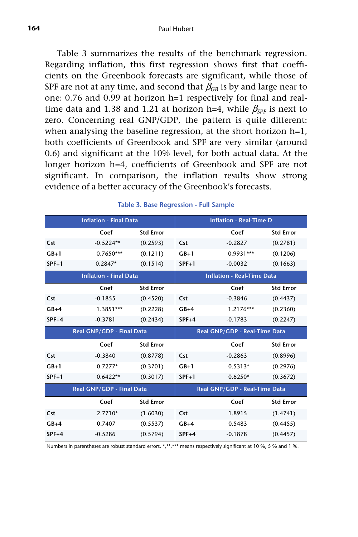Table 3 summarizes the results of the benchmark regression. Regarding inflation, this first regression shows first that coefficients on the Greenbook forecasts are significant, while those of SPF are not at any time, and second that  $\beta_{GR}$  is by and large near to one: 0.76 and 0.99 at horizon h=1 respectively for final and realtime data and 1.38 and 1.21 at horizon h=4, while  $\beta_{\text{SPE}}$  is next to zero. Concerning real GNP/GDP, the pattern is quite different: when analysing the baseline regression, at the short horizon h=1, both coefficients of Greenbook and SPF are very similar (around 0.6) and significant at the 10% level, for both actual data. At the longer horizon h=4, coefficients of Greenbook and SPF are not significant. In comparison, the inflation results show strong evidence of a better accuracy of the Greenbook's forecasts.

|         | <b>Inflation - Final Data</b> |                  |         | <b>Inflation - Real-Time D</b>    |                  |  |
|---------|-------------------------------|------------------|---------|-----------------------------------|------------------|--|
|         | Coef                          | <b>Std Error</b> |         | Coef                              | <b>Std Error</b> |  |
| Cst     | $-0.5224**$                   | (0.2593)         | Cst     | $-0.2827$                         | (0.2781)         |  |
| $GB+1$  | $0.7650***$                   | (0.1211)         | $GB+1$  | 0.9931***                         | (0.1206)         |  |
| $SPF+1$ | $0.2847*$                     | (0.1514)         | $SPF+1$ | $-0.0032$                         | (0.1663)         |  |
|         | <b>Inflation - Final Data</b> |                  |         | <b>Inflation - Real-Time Data</b> |                  |  |
|         | Coef                          | <b>Std Error</b> |         | Coef                              | <b>Std Error</b> |  |
| Cst     | $-0.1855$                     | (0.4520)         | Cst     | $-0.3846$                         | (0.4437)         |  |
| $GB+4$  | 1.3851***                     | (0.2228)         | $GB+4$  | $1.2176***$                       | (0.2360)         |  |
| $SPF+4$ | $-0.3781$                     | (0.2434)         | $SPF+4$ | $-0.1783$                         | (0.2247)         |  |
|         | Real GNP/GDP - Final Data     |                  |         |                                   |                  |  |
|         |                               |                  |         | Real GNP/GDP - Real-Time Data     |                  |  |
|         | Coef                          | <b>Std Error</b> |         | Coef                              | <b>Std Error</b> |  |
| Cst     | $-0.3840$                     | (0.8778)         | Cst     | $-0.2863$                         | (0.8996)         |  |
| $GB+1$  | $0.7277*$                     | (0.3701)         | $GB+1$  | $0.5313*$                         | (0.2976)         |  |
| $SPF+1$ | $0.6422**$                    | (0.3017)         | $SPF+1$ | $0.6250*$                         | (0.3672)         |  |
|         | Real GNP/GDP - Final Data     |                  |         | Real GNP/GDP - Real-Time Data     |                  |  |
|         | Coef                          | <b>Std Error</b> |         | Coef                              | <b>Std Error</b> |  |
| Cst     | $2.7710*$                     | (1.6030)         | Cst     | 1.8915                            | (1.4741)         |  |
| $GB+4$  | 0.7407                        | (0.5537)         | $GB+4$  | 0.5483                            | (0.4455)         |  |

#### **Table 3. Base Regression - Full Sample**

Numbers in parentheses are robust standard errors. \*,\*\*,\*\*\* means respectively significant at 10 %, 5 % and 1 %.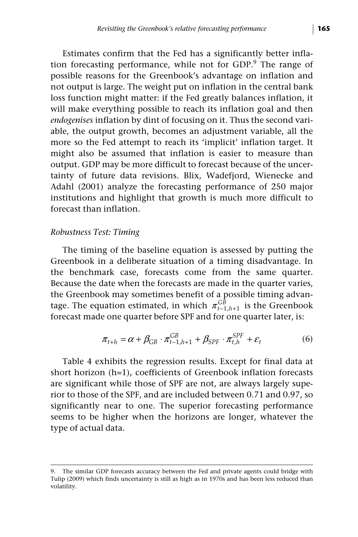Estimates confirm that the Fed has a significantly better inflation forecasting performance, while not for  $GDP<sup>9</sup>$ . The range of possible reasons for the Greenbook's advantage on inflation and not output is large. The weight put on inflation in the central bank loss function might matter: if the Fed greatly balances inflation, it will make everything possible to reach its inflation goal and then *endogenises* inflation by dint of focusing on it. Thus the second variable, the output growth, becomes an adjustment variable, all the more so the Fed attempt to reach its 'implicit' inflation target. It might also be assumed that inflation is easier to measure than output. GDP may be more difficult to forecast because of the uncertainty of future data revisions. Blix, Wadefjord, Wienecke and Adahl (2001) analyze the forecasting performance of 250 major institutions and highlight that growth is much more difficult to forecast than inflation.

#### *Robustness Test: Timing*

The timing of the baseline equation is assessed by putting the Greenbook in a deliberate situation of a timing disadvantage. In the benchmark case, forecasts come from the same quarter. Because the date when the forecasts are made in the quarter varies, the Greenbook may sometimes benefit of a possible timing advantage. The equation estimated, in which  $\pi_{t-1,h+1}^{GB}$  is the Greenbook forecast made one quarter before SPF and for one quarter later, is:

$$
\pi_{t+h} = \alpha + \beta_{GB} \cdot \pi_{t-1,h+1}^{GB} + \beta_{SPF} \cdot \pi_{t,h}^{SPF} + \varepsilon_t
$$
 (6)

Table 4 exhibits the regression results. Except for final data at short horizon (h=1)**,** coefficients of Greenbook inflation forecasts are significant while those of SPF are not, are always largely superior to those of the SPF, and are included between 0.71 and 0.97, so significantly near to one. The superior forecasting performance seems to be higher when the horizons are longer, whatever the type of actual data.

<sup>9.</sup> The similar GDP forecasts accuracy between the Fed and private agents could bridge with Tulip (2009) which finds uncertainty is still as high as in 1970s and has been less reduced than volatility.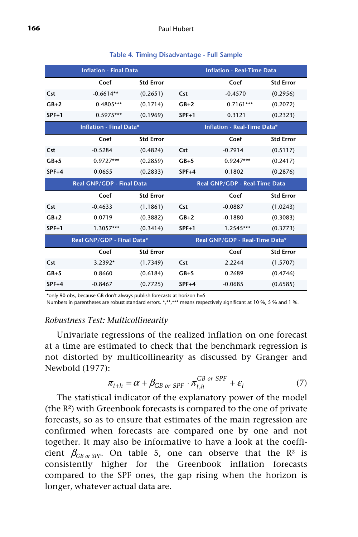|         | <b>Inflation - Final Data</b>  |                  |         | <b>Inflation - Real-Time Data</b> |                  |
|---------|--------------------------------|------------------|---------|-----------------------------------|------------------|
|         | Coef                           | <b>Std Error</b> |         | Coef                              | <b>Std Error</b> |
| Cst     | $-0.6614**$                    | (0.2651)         | Cst     | $-0.4570$                         | (0.2956)         |
| $GB+2$  | $0.4805***$                    | (0.1714)         | $GB+2$  | $0.7161***$                       | (0.2072)         |
| $SPF+1$ | $0.5975***$                    | (0.1969)         | $SPF+1$ | 0.3121                            | (0.2323)         |
|         | <b>Inflation - Final Data*</b> |                  |         | Inflation - Real-Time Data*       |                  |
|         | Coef                           | <b>Std Error</b> |         | Coef                              | <b>Std Error</b> |
| Cst     | $-0.5284$                      | (0.4824)         | Cst     | $-0.7914$                         | (0.5117)         |
| $GB+5$  | $0.9727***$                    | (0.2859)         | $GB+5$  | $0.9247***$                       | (0.2417)         |
| $SPF+4$ | 0.0655                         | (0.2833)         | $SPF+4$ | 0.1802                            | (0.2876)         |
|         | Real GNP/GDP - Final Data      |                  |         |                                   |                  |
|         |                                |                  |         | Real GNP/GDP - Real-Time Data     |                  |
|         | Coef                           | <b>Std Error</b> |         | Coef                              | <b>Std Error</b> |
| Cst     | $-0.4633$                      | (1.1861)         | Cst     | $-0.0887$                         | (1.0243)         |
| $GB+2$  | 0.0719                         | (0.3882)         | $GB+2$  | $-0.1880$                         | (0.3083)         |
| $SPF+1$ | $1.3057***$                    | (0.3414)         | $SPF+1$ | $1.2545***$                       | (0.3773)         |
|         | Real GNP/GDP - Final Data*     |                  |         | Real GNP/GDP - Real-Time Data*    |                  |
|         | Coef                           | <b>Std Error</b> |         | Coef                              | <b>Std Error</b> |
| Cst     | 3.2392*                        | (1.7349)         | Cst     | 2.2244                            | (1.5707)         |
| $GB+5$  | 0.8660                         | (0.6184)         | $GB+5$  | 0.2689                            | (0.4746)         |

|  | Table 4. Timing Disadvantage - Full Sample |  |
|--|--------------------------------------------|--|
|--|--------------------------------------------|--|

\*only 90 obs, because GB don't always publish forecasts at horizon h=5

Numbers in parentheses are robust standard errors. \*,\*\*,\*\*\* means respectively significant at 10 %, 5 % and 1 %.

#### *Robustness Test: Multicollinearity*

Univariate regressions of the realized inflation on one forecast at a time are estimated to check that the benchmark regression is not distorted by multicollinearity as discussed by Granger and Newbold (1977):

$$
\pi_{t+h} = \alpha + \beta_{GB\ or\ SPF} \cdot \pi_{t,h}^{GB\ or\ SPF} + \varepsilon_t \tag{7}
$$

The statistical indicator of the explanatory power of the model (the R²) with Greenbook forecasts is compared to the one of private forecasts, so as to ensure that estimates of the main regression are confirmed when forecasts are compared one by one and not together. It may also be informative to have a look at the coefficient  $\beta_{GB \text{ or } SPF}$ . On table 5, one can observe that the R<sup>2</sup> is consistently higher for the Greenbook inflation forecasts compared to the SPF ones, the gap rising when the horizon is longer, whatever actual data are.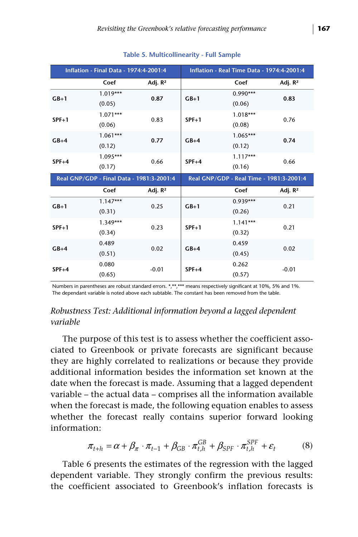|         | <b>Inflation - Final Data - 1974:4-2001:4</b> |                     |         | Inflation - Real Time Data - 1974:4-2001:4 |                     |
|---------|-----------------------------------------------|---------------------|---------|--------------------------------------------|---------------------|
|         | Coef                                          | Adj. R <sup>2</sup> |         | Coef                                       | Adj. $R^2$          |
| $GB+1$  | $1.019***$                                    | 0.87                | $GB+1$  | $0.990***$                                 | 0.83                |
|         | (0.05)                                        |                     |         | (0.06)                                     |                     |
| $SPF+1$ | $1.071***$                                    | 0.83                | $SPF+1$ | $1.018***$                                 | 0.76                |
|         | (0.06)                                        |                     |         | (0.08)                                     |                     |
| $GB+4$  | $1.061***$                                    | 0.77                | $GB+4$  | $1.065***$                                 | 0.74                |
|         | (0.12)                                        |                     |         | (0.12)                                     |                     |
| $SPF+4$ | 1.095***                                      | 0.66                | $SPF+4$ | $1.117***$                                 | 0.66                |
|         | (0.17)                                        |                     |         | (0.16)                                     |                     |
|         |                                               |                     |         |                                            |                     |
|         | Real GNP/GDP - Final Data - 1981:3-2001:4     |                     |         | Real GNP/GDP - Real Time - 1981:3-2001:4   |                     |
|         | Coef                                          | Adj. R <sup>2</sup> |         | Coef                                       | Adj. R <sup>2</sup> |
|         | $1.147***$                                    |                     |         | $0.939***$                                 |                     |
| $GB+1$  | (0.31)                                        | 0.25                | $GB+1$  | (0.26)                                     | 0.21                |
|         | $1.349***$                                    |                     |         | $1.141***$                                 |                     |
| $SPF+1$ | (0.34)                                        | 0.23                | $SPF+1$ | (0.32)                                     | 0.21                |
|         | 0.489                                         |                     |         | 0.459                                      |                     |
| $GB+4$  | (0.51)                                        | 0.02                | $GB+4$  | (0.45)                                     | 0.02                |
| $SPF+4$ | 0.080                                         | $-0.01$             | $SPF+4$ | 0.262                                      | $-0.01$             |

**Table 5. Multicollinearity - Full Sample**

Numbers in parentheses are robust standard errors. \*,\*\*,\*\*\* means respectively significant at 10%, 5% and 1%. The dependant variable is noted above each subtable. The constant has been removed from the table.

#### *Robustness Test: Additional information beyond a lagged dependent variable*

The purpose of this test is to assess whether the coefficient associated to Greenbook or private forecasts are significant because they are highly correlated to realizations or because they provide additional information besides the information set known at the date when the forecast is made. Assuming that a lagged dependent variable – the actual data – comprises all the information available when the forecast is made, the following equation enables to assess whether the forecast really contains superior forward looking information:

$$
\pi_{t+h} = \alpha + \beta_{\pi} \cdot \pi_{t-1} + \beta_{GB} \cdot \pi_{t,h}^{GB} + \beta_{SPF} \cdot \pi_{t,h}^{SPF} + \varepsilon_t
$$
 (8)

Table 6 presents the estimates of the regression with the lagged dependent variable. They strongly confirm the previous results: the coefficient associated to Greenbook's inflation forecasts is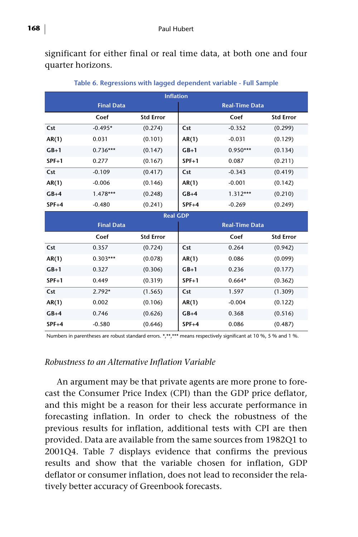significant for either final or real time data, at both one and four quarter horizons.

|         | <b>Inflation</b>  |                  |         |                       |                  |  |  |  |  |
|---------|-------------------|------------------|---------|-----------------------|------------------|--|--|--|--|
|         | <b>Final Data</b> |                  |         | <b>Real-Time Data</b> |                  |  |  |  |  |
|         | Coef              | <b>Std Error</b> |         | Coef                  | <b>Std Error</b> |  |  |  |  |
| Cst     | $-0.495*$         | (0.274)          | Cst     | $-0.352$              | (0.299)          |  |  |  |  |
| AR(1)   | 0.031             | (0.101)          | AR(1)   | $-0.031$              | (0.129)          |  |  |  |  |
| $GB+1$  | $0.736***$        | (0.147)          | $GB+1$  | $0.950***$            | (0.134)          |  |  |  |  |
| $SPF+1$ | 0.277             | (0.167)          | $SPF+1$ | 0.087                 | (0.211)          |  |  |  |  |
| Cst     | $-0.109$          | (0.417)          | Cst     | $-0.343$              | (0.419)          |  |  |  |  |
| AR(1)   | $-0.006$          | (0.146)          | AR(1)   | $-0.001$              | (0.142)          |  |  |  |  |
| $GB+4$  | $1.478***$        | (0.248)          | $GB+4$  | $1.312***$            | (0.210)          |  |  |  |  |
| $SPF+4$ | $-0.480$          | (0.241)          | $SPF+4$ | $-0.269$              | (0.249)          |  |  |  |  |
|         |                   | <b>Real GDP</b>  |         |                       |                  |  |  |  |  |
|         | <b>Final Data</b> |                  |         | <b>Real-Time Data</b> |                  |  |  |  |  |
|         | Coef              | <b>Std Error</b> |         | Coef                  | <b>Std Error</b> |  |  |  |  |
| Cst     | 0.357             | (0.724)          | Cst     | 0.264                 | (0.942)          |  |  |  |  |
| AR(1)   | $0.303***$        | (0.078)          | AR(1)   | 0.086                 | (0.099)          |  |  |  |  |
| $GB+1$  | 0.327             | (0.306)          | $GB+1$  | 0.236                 | (0.177)          |  |  |  |  |
| $SPF+1$ | 0.449             | (0.319)          | $SPF+1$ | $0.664*$              | (0.362)          |  |  |  |  |
| Cst     | $2.792*$          | (1.565)          | Cst     | 1.597                 | (1.309)          |  |  |  |  |
| AR(1)   | 0.002             | (0.106)          | AR(1)   | $-0.004$              | (0.122)          |  |  |  |  |
| $GB+4$  | 0.746             | (0.626)          | $GB+4$  | 0.368                 | (0.516)          |  |  |  |  |
| $SPF+4$ | $-0.580$          | (0.646)          | $SPF+4$ | 0.086                 | (0.487)          |  |  |  |  |

**Table 6. Regressions with lagged dependent variable - Full Sample**

Numbers in parentheses are robust standard errors. \*,\*\*,\*\*\* means respectively significant at 10 %, 5 % and 1 %.

#### *Robustness to an Alternative Inflation Variable*

An argument may be that private agents are more prone to forecast the Consumer Price Index (CPI) than the GDP price deflator, and this might be a reason for their less accurate performance in forecasting inflation. In order to check the robustness of the previous results for inflation, additional tests with CPI are then provided. Data are available from the same sources from 1982Q1 to 2001Q4. Table 7 displays evidence that confirms the previous results and show that the variable chosen for inflation, GDP deflator or consumer inflation, does not lead to reconsider the relatively better accuracy of Greenbook forecasts.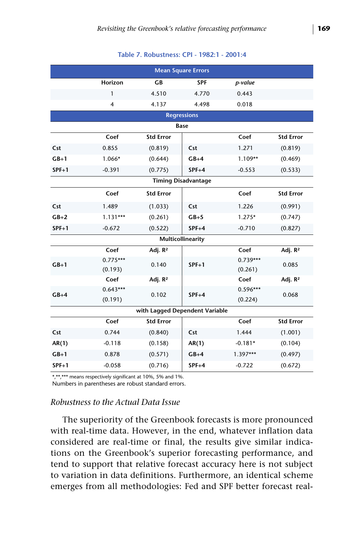|         |                       |                                | <b>Mean Square Errors</b>  |                       |                     |
|---------|-----------------------|--------------------------------|----------------------------|-----------------------|---------------------|
|         | Horizon               | GB                             | SPF                        | p-value               |                     |
|         | 1                     | 4.510                          | 4.770                      | 0.443                 |                     |
|         | $\overline{4}$        | 4.137                          | 4.498                      | 0.018                 |                     |
|         |                       |                                | <b>Regressions</b>         |                       |                     |
|         |                       |                                | <b>Base</b>                |                       |                     |
|         | Coef                  | <b>Std Error</b>               |                            | Coef                  | <b>Std Error</b>    |
| Cst     | 0.855                 | (0.819)                        | Cst                        | 1.271                 | (0.819)             |
| $GB+1$  | 1.066*                | (0.644)                        | $GB+4$                     | 1.109**               | (0.469)             |
| $SPF+1$ | $-0.391$              | (0.775)                        | $SPF+4$                    | $-0.553$              | (0.533)             |
|         |                       |                                | <b>Timing Disadvantage</b> |                       |                     |
|         | Coef                  | <b>Std Error</b>               |                            | Coef                  | <b>Std Error</b>    |
| Cst     | 1.489                 | (1.033)                        | Cst                        | 1.226                 | (0.991)             |
| $GB+2$  | $1.131***$            | (0.261)                        | $GB+5$                     | $1.275*$              | (0.747)             |
| $SPF+1$ | $-0.672$              | (0.522)                        | $SPF+4$                    | $-0.710$              | (0.827)             |
|         |                       |                                | Multicollinearity          |                       |                     |
|         | Coef                  | Adj. R <sup>2</sup>            |                            | Coef                  | Adj. R <sup>2</sup> |
| $GB+1$  | $0.775***$<br>(0.193) | 0.140                          | $SPF+1$                    | $0.739***$<br>(0.261) | 0.085               |
|         | Coef                  | Adj. R <sup>2</sup>            |                            | Coef                  | Adj. R <sup>2</sup> |
| $GB+4$  | $0.643***$            | 0.102                          | $SPF+4$                    | $0.596***$            | 0.068               |
|         | (0.191)               |                                |                            | (0.224)               |                     |
|         |                       | with Lagged Dependent Variable |                            |                       |                     |
|         | Coef                  | <b>Std Error</b>               |                            | Coef                  | <b>Std Error</b>    |
| Cst     | 0.744                 | (0.840)                        | Cst                        | 1.444                 | (1.001)             |
| AR(1)   | $-0.118$              | (0.158)                        | AR(1)                      | $-0.181*$             | (0.104)             |
| $GB+1$  | 0.878                 | (0.571)                        | $GB+4$                     | $1.397***$            | (0.497)             |
| $SPF+1$ | $-0.058$              | (0.716)                        | $SPF+4$                    | $-0.722$              | (0.672)             |

**Table 7. Robustness: CPI - 1982:1 - 2001:4**

\*,\*\*,\*\*\* means respectively significant at 10%, 5% and 1%.

Numbers in parentheses are robust standard errors.

#### *Robustness to the Actual Data Issue*

The superiority of the Greenbook forecasts is more pronounced with real-time data. However, in the end, whatever inflation data considered are real-time or final, the results give similar indications on the Greenbook's superior forecasting performance, and tend to support that relative forecast accuracy here is not subject to variation in data definitions. Furthermore, an identical scheme emerges from all methodologies: Fed and SPF better forecast real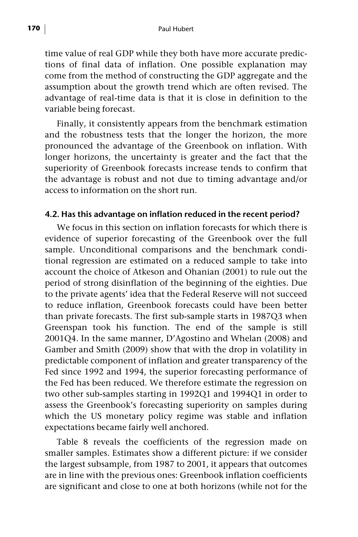time value of real GDP while they both have more accurate predictions of final data of inflation. One possible explanation may come from the method of constructing the GDP aggregate and the assumption about the growth trend which are often revised. The advantage of real-time data is that it is close in definition to the variable being forecast.

Finally, it consistently appears from the benchmark estimation and the robustness tests that the longer the horizon, the more pronounced the advantage of the Greenbook on inflation. With longer horizons, the uncertainty is greater and the fact that the superiority of Greenbook forecasts increase tends to confirm that the advantage is robust and not due to timing advantage and/or access to information on the short run.

#### **4.2. Has this advantage on inflation reduced in the recent period?**

We focus in this section on inflation forecasts for which there is evidence of superior forecasting of the Greenbook over the full sample. Unconditional comparisons and the benchmark conditional regression are estimated on a reduced sample to take into account the choice of Atkeson and Ohanian (2001) to rule out the period of strong disinflation of the beginning of the eighties. Due to the private agents' idea that the Federal Reserve will not succeed to reduce inflation, Greenbook forecasts could have been better than private forecasts. The first sub-sample starts in 1987Q3 when Greenspan took his function. The end of the sample is still 2001Q4. In the same manner, D'Agostino and Whelan (2008) and Gamber and Smith (2009) show that with the drop in volatility in predictable component of inflation and greater transparency of the Fed since 1992 and 1994, the superior forecasting performance of the Fed has been reduced. We therefore estimate the regression on two other sub-samples starting in 1992Q1 and 1994Q1 in order to assess the Greenbook's forecasting superiority on samples during which the US monetary policy regime was stable and inflation expectations became fairly well anchored.

Table 8 reveals the coefficients of the regression made on smaller samples. Estimates show a different picture: if we consider the largest subsample, from 1987 to 2001, it appears that outcomes are in line with the previous ones: Greenbook inflation coefficients are significant and close to one at both horizons (while not for the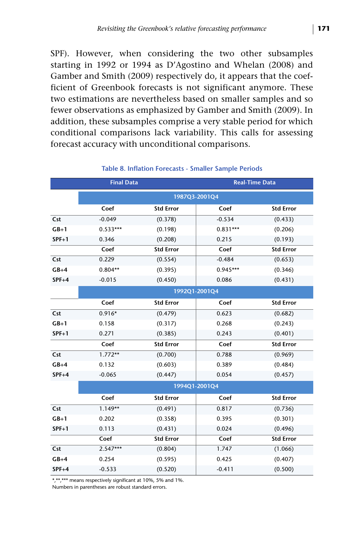SPF). However, when considering the two other subsamples starting in 1992 or 1994 as D'Agostino and Whelan (2008) and Gamber and Smith (2009) respectively do, it appears that the coefficient of Greenbook forecasts is not significant anymore. These two estimations are nevertheless based on smaller samples and so fewer observations as emphasized by Gamber and Smith (2009). In addition, these subsamples comprise a very stable period for which conditional comparisons lack variability. This calls for assessing forecast accuracy with unconditional comparisons.

|         | <b>Final Data</b> |                  | <b>Real-Time Data</b> |                  |  |  |
|---------|-------------------|------------------|-----------------------|------------------|--|--|
|         |                   |                  | 1987Q3-2001Q4         |                  |  |  |
|         | Coef              | <b>Std Error</b> | Coef                  | <b>Std Error</b> |  |  |
| Cst     | $-0.049$          | (0.378)          | $-0.534$              | (0.433)          |  |  |
| $GB+1$  | $0.533***$        | (0.198)          | $0.831***$            | (0.206)          |  |  |
| $SPF+1$ | 0.346             | (0.208)          | 0.215                 | (0.193)          |  |  |
|         | Coef              | <b>Std Error</b> | Coef                  | <b>Std Error</b> |  |  |
| Cst     | 0.229             | (0.554)          | $-0.484$              | (0.653)          |  |  |
| $GB+4$  | $0.804**$         | (0.395)          | 0.945***              | (0.346)          |  |  |
| $SPF+4$ | $-0.015$          | (0.450)          | 0.086                 | (0.431)          |  |  |
|         |                   |                  | 1992Q1-2001Q4         |                  |  |  |
|         | Coef              | <b>Std Error</b> | Coef                  | <b>Std Error</b> |  |  |
| Cst     | $0.916*$          | (0.479)          | 0.623                 | (0.682)          |  |  |
| $GB+1$  | 0.158             | (0.317)          | 0.268                 | (0.243)          |  |  |
| $SPF+1$ | 0.271             | (0.385)          | 0.243                 | (0.401)          |  |  |
|         | Coef              | <b>Std Error</b> | Coef                  | <b>Std Error</b> |  |  |
| Cst     | $1.772**$         | (0.700)          | 0.788                 | (0.969)          |  |  |
| $GB+4$  | 0.132             | (0.603)          | 0.389                 | (0.484)          |  |  |
| $SPF+4$ | $-0.065$          | (0.447)          | 0.054                 | (0.457)          |  |  |
|         |                   |                  | 1994Q1-2001Q4         |                  |  |  |
|         | Coef              | <b>Std Error</b> | Coef                  | <b>Std Error</b> |  |  |
| Cst     | 1.149**           | (0.491)          | 0.817                 | (0.736)          |  |  |
| $GB+1$  | 0.202             | (0.358)          | 0.395                 | (0.301)          |  |  |
| $SPF+1$ | 0.113             | (0.431)          | 0.024                 | (0.496)          |  |  |
|         | Coef              | <b>Std Error</b> | Coef                  | <b>Std Error</b> |  |  |
| Cst     | $2.547***$        | (0.804)          | 1.747                 | (1.066)          |  |  |
| $GB+4$  | 0.254             | (0.595)          | 0.425                 | (0.407)          |  |  |
| $SPF+4$ | $-0.533$          | (0.520)          | $-0.411$              | (0.500)          |  |  |

#### **Table 8. Inflation Forecasts - Smaller Sample Periods**

\*,\*\*,\*\*\* means respectively significant at 10%, 5% and 1%.

Numbers in parentheses are robust standard errors.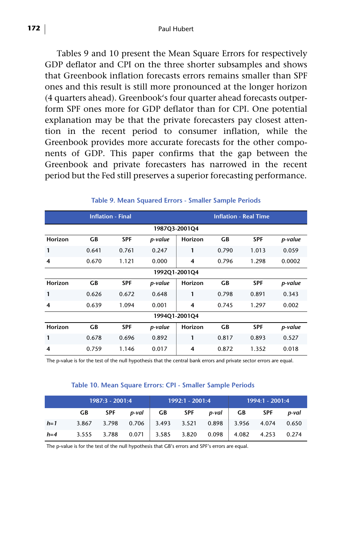Tables 9 and 10 present the Mean Square Errors for respectively GDP deflator and CPI on the three shorter subsamples and shows that Greenbook inflation forecasts errors remains smaller than SPF ones and this result is still more pronounced at the longer horizon (4 quarters ahead). Greenbook's four quarter ahead forecasts outperform SPF ones more for GDP deflator than for CPI. One potential explanation may be that the private forecasters pay closest attention in the recent period to consumer inflation, while the Greenbook provides more accurate forecasts for the other components of GDP. This paper confirms that the gap between the Greenbook and private forecasters has narrowed in the recent period but the Fed still preserves a superior forecasting performance.

|               |       | <b>Inflation - Final</b> |         | <b>Inflation - Real Time</b> |       |            |         |  |
|---------------|-------|--------------------------|---------|------------------------------|-------|------------|---------|--|
|               |       |                          |         | 1987Q3-2001Q4                |       |            |         |  |
| Horizon       | GВ    | <b>SPF</b>               | p-value | Horizon                      | GВ    | <b>SPF</b> | p-value |  |
| 1             | 0.641 | 0.761                    | 0.247   | 1                            | 0.790 | 1.013      | 0.059   |  |
| 4             | 0.670 | 1.121                    | 0.000   | 4                            | 0.796 | 1.298      | 0.0002  |  |
| 1992Q1-2001Q4 |       |                          |         |                              |       |            |         |  |
| Horizon       | GВ    | <b>SPF</b>               | p-value | Horizon                      | GВ    | <b>SPF</b> | p-value |  |
| 1             | 0.626 | 0.672                    | 0.648   | 1                            | 0.798 | 0.891      | 0.343   |  |
| 4             | 0.639 | 1.094                    | 0.001   | 4                            | 0.745 | 1.297      | 0.002   |  |
|               |       |                          |         | 1994Q1-2001Q4                |       |            |         |  |
| Horizon       | GВ    | <b>SPF</b>               | p-value | Horizon                      | GВ    | <b>SPF</b> | p-value |  |
| 1             | 0.678 | 0.696                    | 0.892   | 1                            | 0.817 | 0.893      | 0.527   |  |
| 4             | 0.759 | 1.146                    | 0.017   | 4                            | 0.872 | 1.352      | 0.018   |  |

#### **Table 9. Mean Squared Errors - Smaller Sample Periods**

The p-value is for the test of the null hypothesis that the central bank errors and private sector errors are equal.

#### **Table 10. Mean Square Errors: CPI - Smaller Sample Periods**

|       | 1987:3 - 2001:4 |             |  | 1992:1 - 2001:4       |  |  | 1994:1 - 2001:4 |                                                       |  |
|-------|-----------------|-------------|--|-----------------------|--|--|-----------------|-------------------------------------------------------|--|
|       | GB -            | SPF         |  | p-val GB SPF p-val GB |  |  |                 | SPF p-val                                             |  |
| $h=1$ |                 |             |  |                       |  |  |                 | 3.867 3.798 0.706 3.493 3.521 0.898 3.956 4.074 0.650 |  |
| $h=4$ |                 | 3.555 3.788 |  |                       |  |  |                 | $0.071$ 3.585 3.820 0.098 4.082 4.253 0.274           |  |

The p-value is for the test of the null hypothesis that GB's errors and SPF's errors are equal.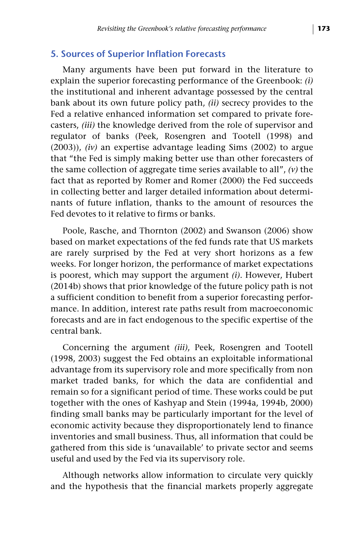#### **5. Sources of Superior Inflation Forecasts**

Many arguments have been put forward in the literature to explain the superior forecasting performance of the Greenbook: *(i)* the institutional and inherent advantage possessed by the central bank about its own future policy path, *(ii)* secrecy provides to the Fed a relative enhanced information set compared to private forecasters, *(iii)* the knowledge derived from the role of supervisor and regulator of banks (Peek, Rosengren and Tootell (1998) and (2003)), *(iv)* an expertise advantage leading Sims (2002) to argue that "the Fed is simply making better use than other forecasters of the same collection of aggregate time series available to all", *(v)* the fact that as reported by Romer and Romer (2000) the Fed succeeds in collecting better and larger detailed information about determinants of future inflation, thanks to the amount of resources the Fed devotes to it relative to firms or banks.

Poole, Rasche, and Thornton (2002) and Swanson (2006) show based on market expectations of the fed funds rate that US markets are rarely surprised by the Fed at very short horizons as a few weeks. For longer horizon, the performance of market expectations is poorest, which may support the argument *(i)*. However, Hubert (2014b) shows that prior knowledge of the future policy path is not a sufficient condition to benefit from a superior forecasting performance. In addition, interest rate paths result from macroeconomic forecasts and are in fact endogenous to the specific expertise of the central bank.

Concerning the argument *(iii)*, Peek, Rosengren and Tootell (1998, 2003) suggest the Fed obtains an exploitable informational advantage from its supervisory role and more specifically from non market traded banks, for which the data are confidential and remain so for a significant period of time. These works could be put together with the ones of Kashyap and Stein (1994a, 1994b, 2000) finding small banks may be particularly important for the level of economic activity because they disproportionately lend to finance inventories and small business. Thus, all information that could be gathered from this side is 'unavailable' to private sector and seems useful and used by the Fed via its supervisory role.

Although networks allow information to circulate very quickly and the hypothesis that the financial markets properly aggregate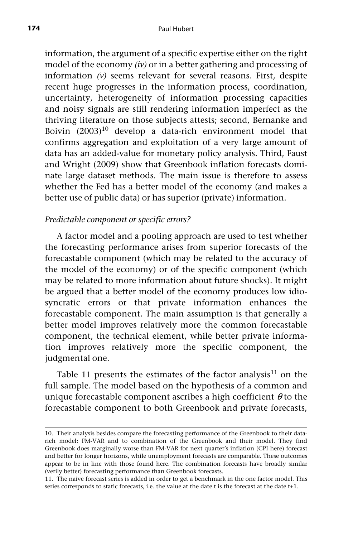information, the argument of a specific expertise either on the right model of the economy *(iv)* or in a better gathering and processing of information *(v)* seems relevant for several reasons. First, despite recent huge progresses in the information process, coordination, uncertainty, heterogeneity of information processing capacities and noisy signals are still rendering information imperfect as the thriving literature on those subjects attests; second, Bernanke and Boivin  $(2003)^{10}$  develop a data-rich environment model that confirms aggregation and exploitation of a very large amount of data has an added-value for monetary policy analysis. Third, Faust and Wright (2009) show that Greenbook inflation forecasts dominate large dataset methods. The main issue is therefore to assess whether the Fed has a better model of the economy (and makes a better use of public data) or has superior (private) information.

#### *Predictable component or specific errors?*

A factor model and a pooling approach are used to test whether the forecasting performance arises from superior forecasts of the forecastable component (which may be related to the accuracy of the model of the economy) or of the specific component (which may be related to more information about future shocks). It might be argued that a better model of the economy produces low idiosyncratic errors or that private information enhances the forecastable component. The main assumption is that generally a better model improves relatively more the common forecastable component, the technical element, while better private information improves relatively more the specific component, the judgmental one.

Table 11 presents the estimates of the factor analysis<sup>11</sup> on the full sample. The model based on the hypothesis of a common and unique forecastable component ascribes a high coefficient  $\theta$  to the forecastable component to both Greenbook and private forecasts,

<sup>10.</sup> Their analysis besides compare the forecasting performance of the Greenbook to their datarich model: FM-VAR and to combination of the Greenbook and their model. They find Greenbook does marginally worse than FM-VAR for next quarter's inflation (CPI here) forecast and better for longer horizons, while unemployment forecasts are comparable. These outcomes appear to be in line with those found here. The combination forecasts have broadly similar (verily better) forecasting performance than Greenbook forecasts.

<sup>11.</sup> The naive forecast series is added in order to get a benchmark in the one factor model. This series corresponds to static forecasts, i.e. the value at the date t is the forecast at the date t+1.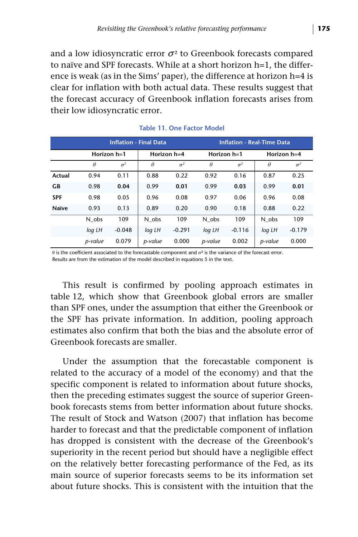and a low idiosyncratic error  $\sigma^2$  to Greenbook forecasts compared to naïve and SPF forecasts. While at a short horizon h=1, the difference is weak (as in the Sims' paper), the difference at horizon h=4 is clear for inflation with both actual data. These results suggest that the forecast accuracy of Greenbook inflation forecasts arises from their low idiosyncratic error.

|            |             |            | <b>Inflation - Final Data</b> |                            | <b>Inflation - Real-Time Data</b> |            |             |            |
|------------|-------------|------------|-------------------------------|----------------------------|-----------------------------------|------------|-------------|------------|
|            | Horizon h=1 |            |                               | Horizon h=4<br>Horizon h=1 |                                   |            | Horizon h=4 |            |
|            | $\theta$    | $\sigma^2$ | $\theta$                      | $\sigma^2$                 | $\theta$                          | $\sigma^2$ | $\theta$    | $\sigma^2$ |
| Actual     | 0.94        | 0.11       | 0.88                          | 0.22                       | 0.92                              | 0.16       | 0.87        | 0.25       |
| GB         | 0.98        | 0.04       | 0.99                          | 0.01                       | 0.99                              | 0.03       | 0.99        | 0.01       |
| <b>SPF</b> | 0.98        | 0.05       | 0.96                          | 0.08                       | 0.97                              | 0.06       | 0.96        | 0.08       |
| Naïve      | 0.93        | 0.13       | 0.89                          | 0.20                       | 0.90                              | 0.18       | 0.88        | 0.22       |
|            | N obs       | 109        | N obs                         | 109                        | N obs                             | 109        | N obs       | 109        |
|            | log LH      | $-0.048$   | log LH                        | $-0.291$                   | log LH                            | $-0.116$   | log LH      | $-0.179$   |
|            | p-value     | 0.079      | p-value                       | 0.000                      | p-value                           | 0.002      | p-value     | 0.000      |

#### **Table 11. One Factor Model**

θ is the coefficient associated to the forecastable component and σ² is the variance of the forecast error. Results are from the estimation of the model described in equations 5 in the text.

This result is confirmed by pooling approach estimates in table 12, which show that Greenbook global errors are smaller than SPF ones, under the assumption that either the Greenbook or the SPF has private information. In addition, pooling approach estimates also confirm that both the bias and the absolute error of Greenbook forecasts are smaller.

Under the assumption that the forecastable component is related to the accuracy of a model of the economy) and that the specific component is related to information about future shocks, then the preceding estimates suggest the source of superior Greenbook forecasts stems from better information about future shocks. The result of Stock and Watson (2007) that inflation has become harder to forecast and that the predictable component of inflation has dropped is consistent with the decrease of the Greenbook's superiority in the recent period but should have a negligible effect on the relatively better forecasting performance of the Fed, as its main source of superior forecasts seems to be its information set about future shocks. This is consistent with the intuition that the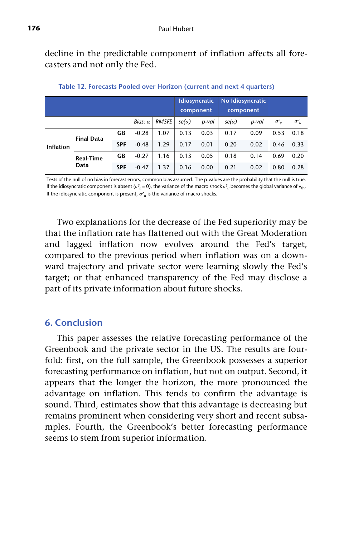decline in the predictable component of inflation affects all forecasters and not only the Fed.

|           |                          |            |                |       | Idiosyncratic<br>component |       | No Idiosyncratic<br>component |       |                       |              |
|-----------|--------------------------|------------|----------------|-------|----------------------------|-------|-------------------------------|-------|-----------------------|--------------|
|           |                          |            | Bias: $\alpha$ | RMSFE | $se(\alpha)$               | p-val | se(a)                         | p-val | $\sigma^2_{\epsilon}$ | $\sigma_u^2$ |
| Inflation | <b>Final Data</b>        | GВ         | $-0.28$        | 1.07  | 0.13                       | 0.03  | 0.17                          | 0.09  | 0.53                  | 0.18         |
|           |                          | <b>SPF</b> | $-0.48$        | 1.29  | 0.17                       | 0.01  | 0.20                          | 0.02  | 0.46                  | 0.33         |
|           | <b>Real-Time</b><br>Data | GВ         | $-0.27$        | 1.16  | 0.13                       | 0.05  | 0.18                          | 0.14  | 0.69                  | 0.20         |
|           |                          | <b>SPF</b> | $-0.47$        | 1.37  | 0.16                       | 0.00  | 0.21                          | 0.02  | 0.80                  | 0.28         |

Tests of the null of no bias in forecast errors, common bias assumed. The p-values are the probability that the null is true. If the idiosyncratic component is absent ( $\sigma^2$ <sup>*ε*</sup> = 0), the variance of the macro shock  $\sigma^2$ <sub>u</sub> becomes the global variance of v<sub>th</sub>. If the idiosyncratic component is present,  $\sigma_{\rm u}^2$  is the variance of macro shocks.

Two explanations for the decrease of the Fed superiority may be that the inflation rate has flattened out with the Great Moderation and lagged inflation now evolves around the Fed's target, compared to the previous period when inflation was on a downward trajectory and private sector were learning slowly the Fed's target; or that enhanced transparency of the Fed may disclose a part of its private information about future shocks.

#### **6. Conclusion**

This paper assesses the relative forecasting performance of the Greenbook and the private sector in the US. The results are fourfold: first, on the full sample, the Greenbook possesses a superior forecasting performance on inflation, but not on output. Second, it appears that the longer the horizon, the more pronounced the advantage on inflation. This tends to confirm the advantage is sound. Third, estimates show that this advantage is decreasing but remains prominent when considering very short and recent subsamples. Fourth, the Greenbook's better forecasting performance seems to stem from superior information.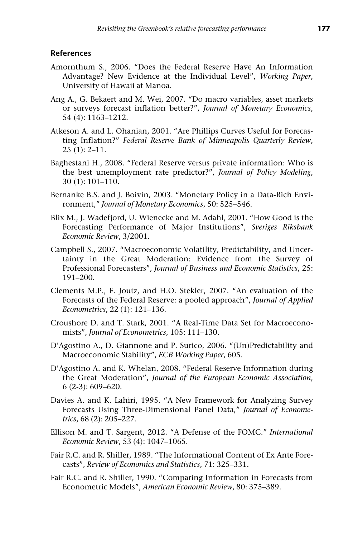#### **References**

- Amornthum S., 2006. "Does the Federal Reserve Have An Information Advantage? New Evidence at the Individual Level", *Working Paper*, University of Hawaii at Manoa.
- Ang A., G. Bekaert and M. Wei, 2007. "Do macro variables, asset markets or surveys forecast inflation better?", *Journal of Monetary Economics*, 54 (4): 1163–1212.
- Atkeson A. and L. Ohanian, 2001. "Are Phillips Curves Useful for Forecasting Inflation?" *Federal Reserve Bank of Minneapolis Quarterly Review*, 25 (1): 2–11.
- Baghestani H., 2008. "Federal Reserve versus private information: Who is the best unemployment rate predictor?", *Journal of Policy Modeling*, 30 (1): 101–110.
- Bernanke B.S. and J. Boivin, 2003. "Monetary Policy in a Data-Rich Environment," *Journal of Monetary Economics*, 50: 525–546.
- Blix M., J. Wadefjord, U. Wienecke and M. Adahl, 2001. "How Good is the Forecasting Performance of Major Institutions", *Sveriges Riksbank Economic Review*, 3/2001.
- Campbell S., 2007. "Macroeconomic Volatility, Predictability, and Uncertainty in the Great Moderation: Evidence from the Survey of Professional Forecasters", *Journal of Business and Economic Statistics*, 25: 191–200.
- Clements M.P., F. Joutz, and H.O. Stekler, 2007. "An evaluation of the Forecasts of the Federal Reserve: a pooled approach", *Journal of Applied Econometrics*, 22 (1): 121–136.
- Croushore D. and T. Stark, 2001. "A Real-Time Data Set for Macroeconomists", *Journal of Econometrics*, 105: 111–130.
- D'Agostino A., D. Giannone and P. Surico, 2006. "(Un)Predictability and Macroeconomic Stability", *ECB Working Paper*, 605.
- D'Agostino A. and K. Whelan, 2008. "Federal Reserve Information during the Great Moderation", *Journal of the European Economic Association*, 6 (2-3): 609–620.
- Davies A. and K. Lahiri, 1995. "A New Framework for Analyzing Survey Forecasts Using Three-Dimensional Panel Data," *Journal of Econometrics*, 68 (2): 205–227.
- Ellison M. and T. Sargent, 2012. "A Defense of the FOMC." *International Economic Review*, 53 (4): 1047–1065.
- Fair R.C. and R. Shiller, 1989. "The Informational Content of Ex Ante Forecasts", *Review of Economics and Statistics*, 71: 325–331.
- Fair R.C. and R. Shiller, 1990. "Comparing Information in Forecasts from Econometric Models", *American Economic Review*, 80: 375–389.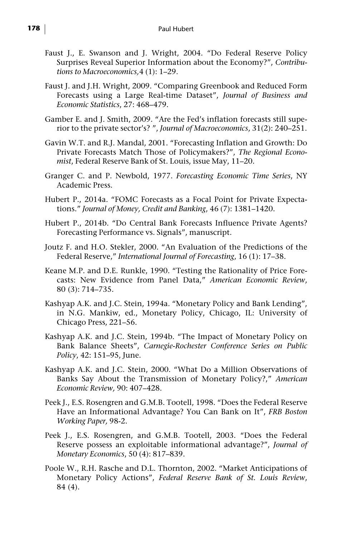- Faust J., E. Swanson and J. Wright, 2004. "Do Federal Reserve Policy Surprises Reveal Superior Information about the Economy?", *Contributions to Macroeconomics,*4 (1): 1–29.
- Faust J. and J.H. Wright, 2009. "Comparing Greenbook and Reduced Form Forecasts using a Large Real-time Dataset", *Journal of Business and Economic Statistics*, 27: 468–479.
- Gamber E. and J. Smith, 2009. "Are the Fed's inflation forecasts still superior to the private sector's? ", *Journal of Macroeconomics*, 31(2): 240–251.
- Gavin W.T. and R.J. Mandal, 2001. "Forecasting Inflation and Growth: Do Private Forecasts Match Those of Policymakers?", *The Regional Economist*, Federal Reserve Bank of St. Louis, issue May, 11–20.
- Granger C. and P. Newbold, 1977. *Forecasting Economic Time Series*, NY Academic Press.
- Hubert P., 2014a. "FOMC Forecasts as a Focal Point for Private Expectations." *Journal of Money, Credit and Banking*, 46 (7): 1381–1420.
- Hubert P., 2014b. "Do Central Bank Forecasts Influence Private Agents? Forecasting Performance vs. Signals", manuscript.
- Joutz F. and H.O. Stekler, 2000. "An Evaluation of the Predictions of the Federal Reserve," *International Journal of Forecasting*, 16 (1): 17–38.
- Keane M.P. and D.E. Runkle, 1990. "Testing the Rationality of Price Forecasts: New Evidence from Panel Data," *American Economic Review*, 80 (3): 714–735.
- Kashyap A.K. and J.C. Stein, 1994a. "Monetary Policy and Bank Lending", in N.G. Mankiw, ed., Monetary Policy, Chicago, IL: University of Chicago Press, 221–56.
- Kashyap A.K. and J.C. Stein, 1994b. "The Impact of Monetary Policy on Bank Balance Sheets", *Carnegie-Rochester Conference Series on Public Policy*, 42: 151–95, June.
- Kashyap A.K. and J.C. Stein, 2000. "What Do a Million Observations of Banks Say About the Transmission of Monetary Policy?," *American Economic Review,* 90: 407–428.
- Peek J., E.S. Rosengren and G.M.B. Tootell, 1998. "Does the Federal Reserve Have an Informational Advantage? You Can Bank on It", *FRB Boston Working Paper,* 98-2.
- Peek J., E.S. Rosengren, and G.M.B. Tootell, 2003. "Does the Federal Reserve possess an exploitable informational advantage?", *Journal of Monetary Economics*, 50 (4): 817–839.
- Poole W., R.H. Rasche and D.L. Thornton, 2002. "Market Anticipations of Monetary Policy Actions", *Federal Reserve Bank of St. Louis Review*, 84 (4).